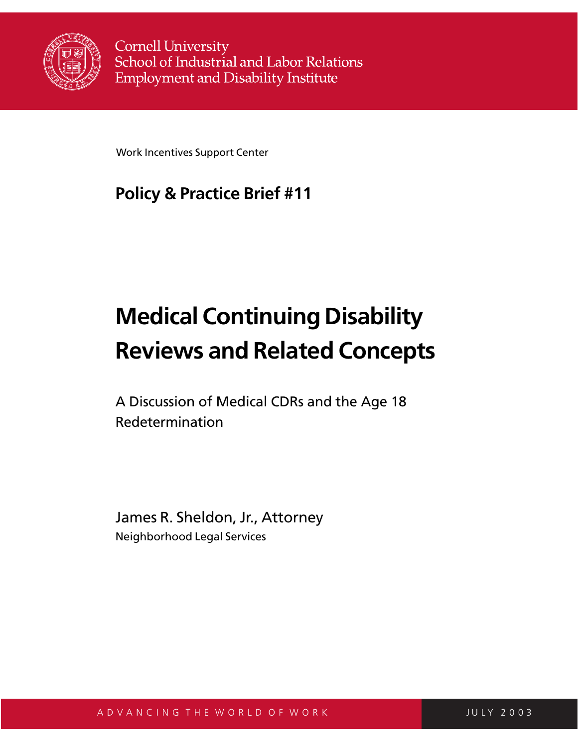

**Cornell University** School of Industrial and Labor Relations **Employment and Disability Institute** 

Work Incentives Support Center

## **Policy & Practice Brief #11**

# **Medical Continuing Disability Reviews and Related Concepts**

A Discussion of Medical CDRs and the Age 18 Redetermination

James R. Sheldon, Jr., Attorney Neighborhood Legal Services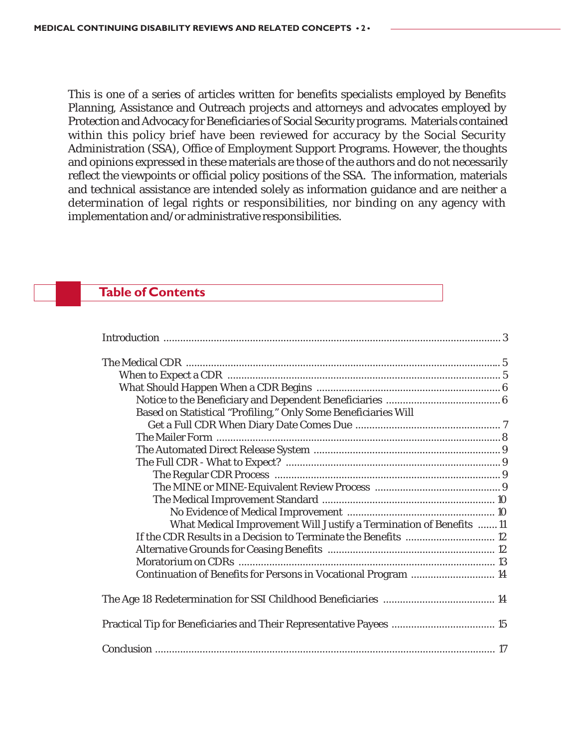This is one of a series of articles written for benefits specialists employed by Benefits Planning, Assistance and Outreach projects and attorneys and advocates employed by Protection and Advocacy for Beneficiaries of Social Security programs. Materials contained within this policy brief have been reviewed for accuracy by the Social Security Administration (SSA), Office of Employment Support Programs. However, the thoughts and opinions expressed in these materials are those of the authors and do not necessarily reflect the viewpoints or official policy positions of the SSA. The information, materials and technical assistance are intended solely as information guidance and are neither a determination of legal rights or responsibilities, nor binding on any agency with implementation and/or administrative responsibilities.

#### **Table of Contents**

| Based on Statistical "Profiling," Only Some Beneficiaries Will      |  |
|---------------------------------------------------------------------|--|
|                                                                     |  |
|                                                                     |  |
|                                                                     |  |
|                                                                     |  |
|                                                                     |  |
|                                                                     |  |
|                                                                     |  |
|                                                                     |  |
| What Medical Improvement Will Justify a Termination of Benefits  11 |  |
| If the CDR Results in a Decision to Terminate the Benefits  12      |  |
|                                                                     |  |
|                                                                     |  |
| Continuation of Benefits for Persons in Vocational Program  14      |  |
|                                                                     |  |
|                                                                     |  |
|                                                                     |  |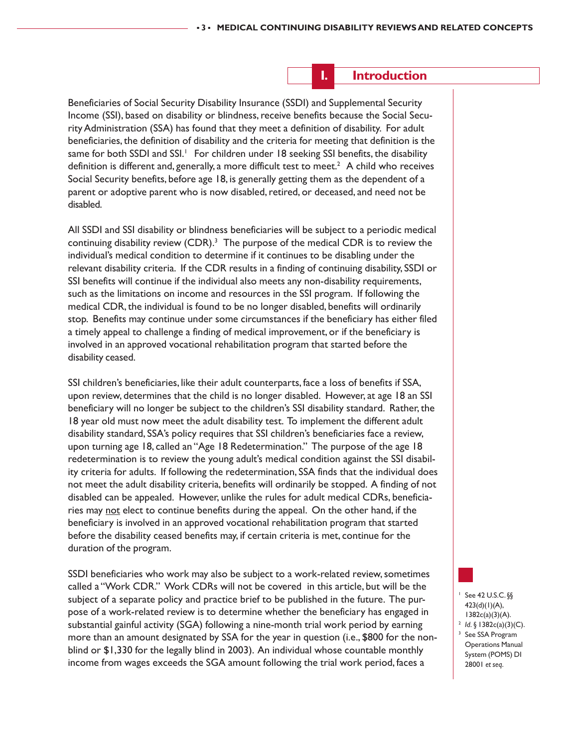#### **I. Introduction**

Beneficiaries of Social Security Disability Insurance (SSDI) and Supplemental Security Income (SSI), based on disability or blindness, receive benefits because the Social Security Administration (SSA) has found that they meet a definition of disability. For adult beneficiaries, the definition of disability and the criteria for meeting that definition is the same for both SSDI and SSI.<sup>1</sup> For children under 18 seeking SSI benefits, the disability definition is different and, generally, a more difficult test to meet.<sup>2</sup> A child who receives Social Security benefits, before age 18, is generally getting them as the dependent of a parent or adoptive parent who is now disabled, retired, or deceased, and need not be disabled.

All SSDI and SSI disability or blindness beneficiaries will be subject to a periodic medical continuing disability review  $(CDR)^3$  The purpose of the medical  $CDR$  is to review the individual's medical condition to determine if it continues to be disabling under the relevant disability criteria. If the CDR results in a finding of continuing disability, SSDI or SSI benefits will continue if the individual also meets any non-disability requirements, such as the limitations on income and resources in the SSI program. If following the medical CDR, the individual is found to be no longer disabled, benefits will ordinarily stop. Benefits may continue under some circumstances if the beneficiary has either filed a timely appeal to challenge a finding of medical improvement, or if the beneficiary is involved in an approved vocational rehabilitation program that started before the disability ceased.

SSI children's beneficiaries, like their adult counterparts, face a loss of benefits if SSA, upon review, determines that the child is no longer disabled. However, at age 18 an SSI beneficiary will no longer be subject to the children's SSI disability standard. Rather, the 18 year old must now meet the adult disability test. To implement the different adult disability standard, SSA's policy requires that SSI children's beneficiaries face a review, upon turning age 18, called an "Age 18 Redetermination." The purpose of the age 18 redetermination is to review the young adult's medical condition against the SSI disability criteria for adults. If following the redetermination, SSA finds that the individual does not meet the adult disability criteria, benefits will ordinarily be stopped. A finding of not disabled can be appealed. However, unlike the rules for adult medical CDRs, beneficiaries may not elect to continue benefits during the appeal. On the other hand, if the beneficiary is involved in an approved vocational rehabilitation program that started before the disability ceased benefits may, if certain criteria is met, continue for the duration of the program.

SSDI beneficiaries who work may also be subject to a work-related review, sometimes called a "Work CDR." Work CDRs will not be covered in this article, but will be the subject of a separate policy and practice brief to be published in the future. The purpose of a work-related review is to determine whether the beneficiary has engaged in substantial gainful activity (SGA) following a nine-month trial work period by earning more than an amount designated by SSA for the year in question (i.e., \$800 for the nonblind or \$1,330 for the legally blind in 2003). An individual whose countable monthly income from wages exceeds the SGA amount following the trial work period, faces a

See 42 U.S.C. §§ 423(d)(1)(A), 1382c(a)(3)(A). <sup>2</sup> *Id*. § 1382c(a)(3)(C).<br><sup>3</sup> See SSA Program Operations Manual System (POMS) DI 28001 *et seq*.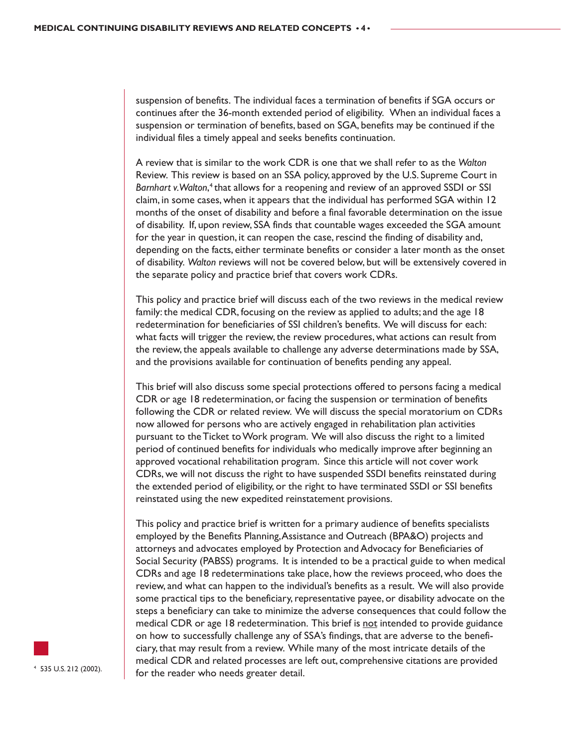suspension of benefits. The individual faces a termination of benefits if SGA occurs or continues after the 36-month extended period of eligibility. When an individual faces a suspension or termination of benefits, based on SGA, benefits may be continued if the individual files a timely appeal and seeks benefits continuation.

A review that is similar to the work CDR is one that we shall refer to as the *Walton* Review. This review is based on an SSA policy, approved by the U.S. Supreme Court in Barnhart v. Walton,<sup>4</sup> that allows for a reopening and review of an approved SSDI or SSI claim, in some cases, when it appears that the individual has performed SGA within 12 months of the onset of disability and before a final favorable determination on the issue of disability. If, upon review, SSA finds that countable wages exceeded the SGA amount for the year in question, it can reopen the case, rescind the finding of disability and, depending on the facts, either terminate benefits or consider a later month as the onset of disability. *Walton* reviews will not be covered below, but will be extensively covered in the separate policy and practice brief that covers work CDRs.

This policy and practice brief will discuss each of the two reviews in the medical review family: the medical CDR, focusing on the review as applied to adults; and the age 18 redetermination for beneficiaries of SSI children's benefits. We will discuss for each: what facts will trigger the review, the review procedures, what actions can result from the review, the appeals available to challenge any adverse determinations made by SSA, and the provisions available for continuation of benefits pending any appeal.

This brief will also discuss some special protections offered to persons facing a medical CDR or age 18 redetermination, or facing the suspension or termination of benefits following the CDR or related review. We will discuss the special moratorium on CDRs now allowed for persons who are actively engaged in rehabilitation plan activities pursuant to the Ticket to Work program. We will also discuss the right to a limited period of continued benefits for individuals who medically improve after beginning an approved vocational rehabilitation program. Since this article will not cover work CDRs, we will not discuss the right to have suspended SSDI benefits reinstated during the extended period of eligibility, or the right to have terminated SSDI or SSI benefits reinstated using the new expedited reinstatement provisions.

This policy and practice brief is written for a primary audience of benefits specialists employed by the Benefits Planning, Assistance and Outreach (BPA&O) projects and attorneys and advocates employed by Protection and Advocacy for Beneficiaries of Social Security (PABSS) programs. It is intended to be a practical guide to when medical CDRs and age 18 redeterminations take place, how the reviews proceed, who does the review, and what can happen to the individual's benefits as a result. We will also provide some practical tips to the beneficiary, representative payee, or disability advocate on the steps a beneficiary can take to minimize the adverse consequences that could follow the medical CDR or age 18 redetermination. This brief is not intended to provide guidance on how to successfully challenge any of SSA's findings, that are adverse to the beneficiary, that may result from a review. While many of the most intricate details of the medical CDR and related processes are left out, comprehensive citations are provided for the reader who needs greater detail. 4 535 U.S. 212 (2002).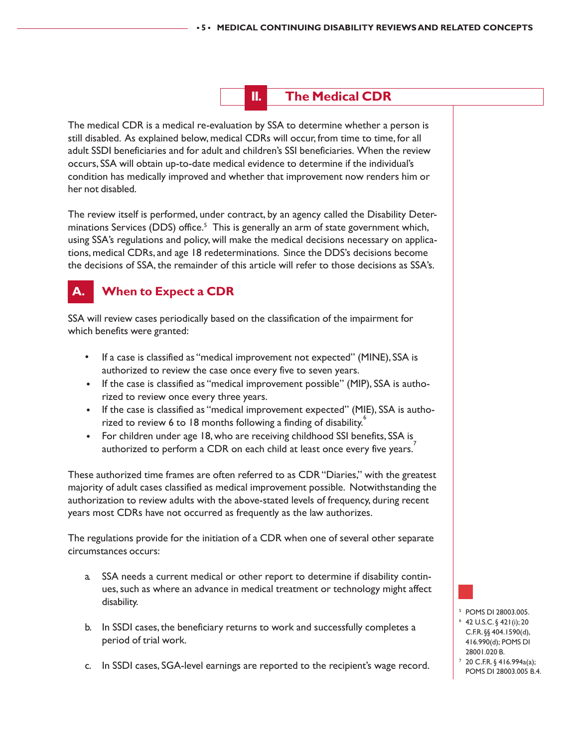

The medical CDR is a medical re-evaluation by SSA to determine whether a person is still disabled. As explained below, medical CDRs will occur, from time to time, for all adult SSDI beneficiaries and for adult and children's SSI beneficiaries. When the review occurs, SSA will obtain up-to-date medical evidence to determine if the individual's condition has medically improved and whether that improvement now renders him or her not disabled.

The review itself is performed, under contract, by an agency called the Disability Determinations Services (DDS) office.<sup>5</sup> This is generally an arm of state government which, using SSA's regulations and policy, will make the medical decisions necessary on applications, medical CDRs, and age 18 redeterminations. Since the DDS's decisions become the decisions of SSA, the remainder of this article will refer to those decisions as SSA's.

## **A. When to Expect a CDR**

SSA will review cases periodically based on the classification of the impairment for which benefits were granted:

- If a case is classified as "medical improvement not expected" (MINE), SSA is authorized to review the case once every five to seven years.
- If the case is classified as "medical improvement possible" (MIP), SSA is authorized to review once every three years.
- If the case is classified as "medical improvement expected" (MIE), SSA is authorized to review 6 to 18 months following a finding of disability.
- For children under age 18, who are receiving childhood SSI benefits, SSA is authorized to perform a CDR on each child at least once every five years.

These authorized time frames are often referred to as CDR "Diaries," with the greatest majority of adult cases classified as medical improvement possible. Notwithstanding the authorization to review adults with the above-stated levels of frequency, during recent years most CDRs have not occurred as frequently as the law authorizes.

The regulations provide for the initiation of a CDR when one of several other separate circumstances occurs:

- a. SSA needs a current medical or other report to determine if disability continues, such as where an advance in medical treatment or technology might affect disability.
- b. In SSDI cases, the beneficiary returns to work and successfully completes a period of trial work.
- c. In SSDI cases, SGA-level earnings are reported to the recipient's wage record.

<sup>5</sup> POMS DI 28003.005. <sup>6</sup> 42 U.S.C. § 421(i); 20 C.F.R. §§ 404.1590(d), 416.990(d); POMS DI 28001.020 B.

<sup>7</sup> 20 C.F.R. § 416.994a(a); POMS DI 28003.005 B.4.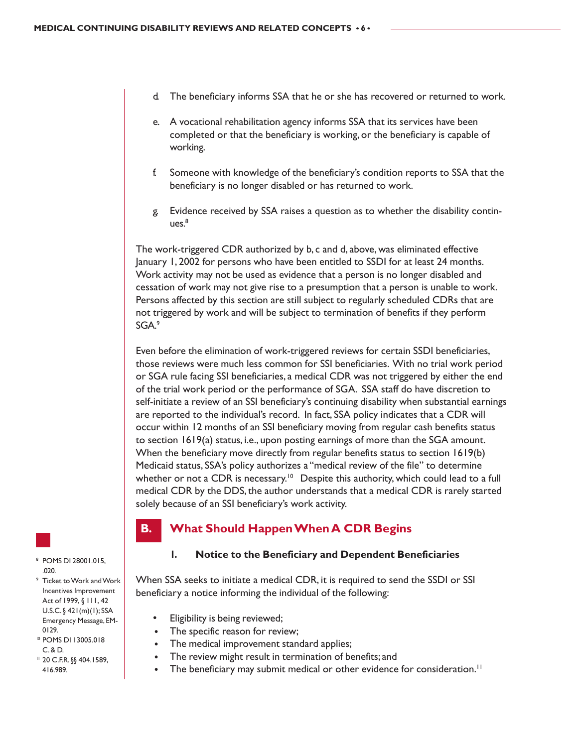- The beneficiary informs SSA that he or she has recovered or returned to work.
- e. A vocational rehabilitation agency informs SSA that its services have been completed or that the beneficiary is working, or the beneficiary is capable of working.
- f. Someone with knowledge of the beneficiary's condition reports to SSA that the beneficiary is no longer disabled or has returned to work.
- g. Evidence received by SSA raises a question as to whether the disability contin $ues.<sup>8</sup>$

The work-triggered CDR authorized by b, c and d, above, was eliminated effective January 1, 2002 for persons who have been entitled to SSDI for at least 24 months. Work activity may not be used as evidence that a person is no longer disabled and cessation of work may not give rise to a presumption that a person is unable to work. Persons affected by this section are still subject to regularly scheduled CDRs that are not triggered by work and will be subject to termination of benefits if they perform SGA.9

Even before the elimination of work-triggered reviews for certain SSDI beneficiaries, those reviews were much less common for SSI beneficiaries. With no trial work period or SGA rule facing SSI beneficiaries, a medical CDR was not triggered by either the end of the trial work period or the performance of SGA. SSA staff do have discretion to self-initiate a review of an SSI beneficiary's continuing disability when substantial earnings are reported to the individual's record. In fact, SSA policy indicates that a CDR will occur within 12 months of an SSI beneficiary moving from regular cash benefits status to section 1619(a) status, i.e., upon posting earnings of more than the SGA amount. When the beneficiary move directly from regular benefits status to section 1619(b) Medicaid status, SSA's policy authorizes a "medical review of the file" to determine whether or not a CDR is necessary.<sup>10</sup> Despite this authority, which could lead to a full medical CDR by the DDS, the author understands that a medical CDR is rarely started solely because of an SSI beneficiary's work activity.

#### **B. What Should Happen When A CDR Begins**

#### **1. Notice to the Beneficiary and Dependent Beneficiaries**

When SSA seeks to initiate a medical CDR, it is required to send the SSDI or SSI beneficiary a notice informing the individual of the following:

- Eligibility is being reviewed;
- The specific reason for review;
- The medical improvement standard applies;
- The review might result in termination of benefits; and
- The beneficiary may submit medical or other evidence for consideration.<sup>11</sup>

<sup>8</sup> POMS DI 28001.015, .020.

- <sup>9</sup> Ticket to Work and Work Incentives Improvement Act of 1999, § 111, 42 U.S.C. § 421(m)(1); SSA Emergency Message, EM-0129.
- <sup>10</sup> POMS DI 13005.018 C. & D.
- <sup>11</sup> 20 C.F.R. §§ 404.1589, 416.989.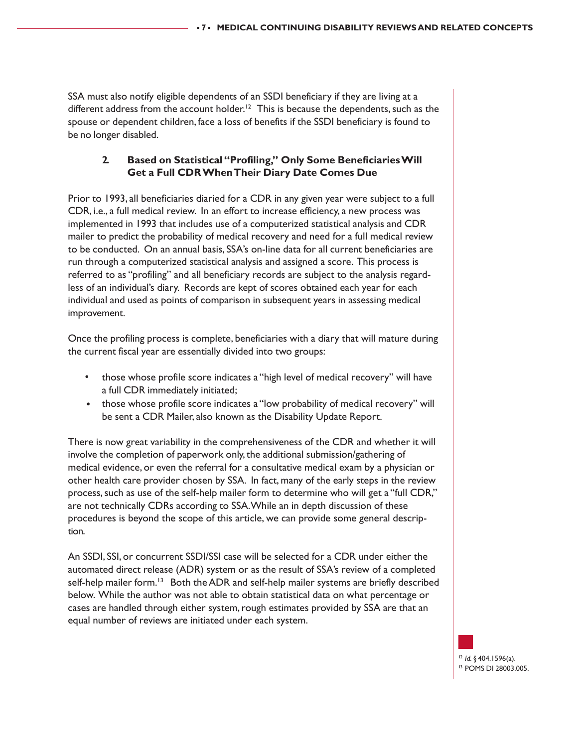SSA must also notify eligible dependents of an SSDI beneficiary if they are living at a different address from the account holder.<sup>12</sup> This is because the dependents, such as the spouse or dependent children, face a loss of benefits if the SSDI beneficiary is found to be no longer disabled.

#### **2. Based on Statistical "Profiling," Only Some Beneficiaries Will Get a Full CDR When Their Diary Date Comes Due**

Prior to 1993, all beneficiaries diaried for a CDR in any given year were subject to a full CDR, i.e., a full medical review. In an effort to increase efficiency, a new process was implemented in 1993 that includes use of a computerized statistical analysis and CDR mailer to predict the probability of medical recovery and need for a full medical review to be conducted. On an annual basis, SSA's on-line data for all current beneficiaries are run through a computerized statistical analysis and assigned a score. This process is referred to as "profiling" and all beneficiary records are subject to the analysis regardless of an individual's diary. Records are kept of scores obtained each year for each individual and used as points of comparison in subsequent years in assessing medical improvement.

Once the profiling process is complete, beneficiaries with a diary that will mature during the current fiscal year are essentially divided into two groups:

- those whose profile score indicates a "high level of medical recovery" will have a full CDR immediately initiated;
- those whose profile score indicates a "low probability of medical recovery" will be sent a CDR Mailer, also known as the Disability Update Report.

There is now great variability in the comprehensiveness of the CDR and whether it will involve the completion of paperwork only, the additional submission/gathering of medical evidence, or even the referral for a consultative medical exam by a physician or other health care provider chosen by SSA. In fact, many of the early steps in the review process, such as use of the self-help mailer form to determine who will get a "full CDR," are not technically CDRs according to SSA. While an in depth discussion of these procedures is beyond the scope of this article, we can provide some general description.

An SSDI, SSI, or concurrent SSDI/SSI case will be selected for a CDR under either the automated direct release (ADR) system or as the result of SSA's review of a completed self-help mailer form.<sup>13</sup> Both the ADR and self-help mailer systems are briefly described below. While the author was not able to obtain statistical data on what percentage or cases are handled through either system, rough estimates provided by SSA are that an equal number of reviews are initiated under each system.

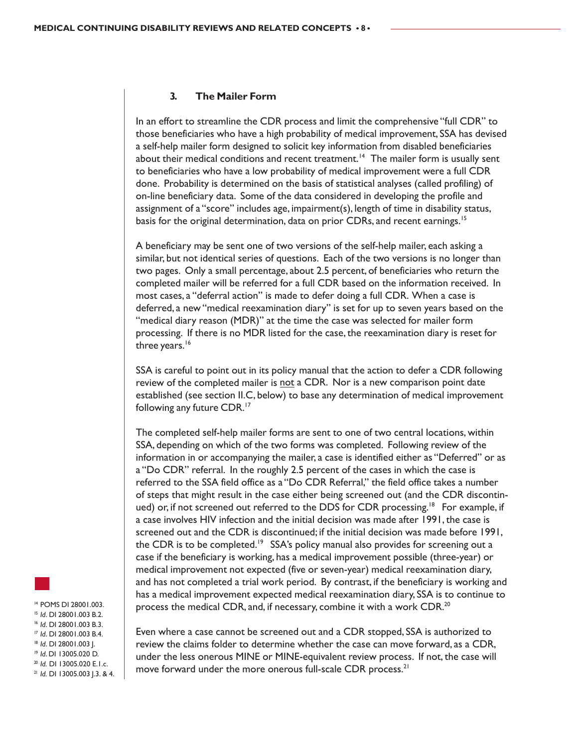#### **3. The Mailer Form**

In an effort to streamline the CDR process and limit the comprehensive "full CDR" to those beneficiaries who have a high probability of medical improvement, SSA has devised a self-help mailer form designed to solicit key information from disabled beneficiaries about their medical conditions and recent treatment.<sup>14</sup> The mailer form is usually sent to beneficiaries who have a low probability of medical improvement were a full CDR done. Probability is determined on the basis of statistical analyses (called profiling) of on-line beneficiary data. Some of the data considered in developing the profile and assignment of a "score" includes age, impairment(s), length of time in disability status, basis for the original determination, data on prior CDRs, and recent earnings.<sup>15</sup>

A beneficiary may be sent one of two versions of the self-help mailer, each asking a similar, but not identical series of questions. Each of the two versions is no longer than two pages. Only a small percentage, about 2.5 percent, of beneficiaries who return the completed mailer will be referred for a full CDR based on the information received. In most cases, a "deferral action" is made to defer doing a full CDR. When a case is deferred, a new "medical reexamination diary" is set for up to seven years based on the "medical diary reason (MDR)" at the time the case was selected for mailer form processing. If there is no MDR listed for the case, the reexamination diary is reset for three years.<sup>16</sup>

SSA is careful to point out in its policy manual that the action to defer a CDR following review of the completed mailer is not a CDR. Nor is a new comparison point date established (see section II.C, below) to base any determination of medical improvement following any future CDR.<sup>17</sup>

The completed self-help mailer forms are sent to one of two central locations, within SSA, depending on which of the two forms was completed. Following review of the information in or accompanying the mailer, a case is identified either as "Deferred" or as a "Do CDR" referral. In the roughly 2.5 percent of the cases in which the case is referred to the SSA field office as a "Do CDR Referral," the field office takes a number of steps that might result in the case either being screened out (and the CDR discontinued) or, if not screened out referred to the DDS for CDR processing.<sup>18</sup> For example, if a case involves HIV infection and the initial decision was made after 1991, the case is screened out and the CDR is discontinued; if the initial decision was made before 1991, the CDR is to be completed.<sup>19</sup> SSA's policy manual also provides for screening out a case if the beneficiary is working, has a medical improvement possible (three-year) or medical improvement not expected (five or seven-year) medical reexamination diary, and has not completed a trial work period. By contrast, if the beneficiary is working and has a medical improvement expected medical reexamination diary, SSA is to continue to process the medical CDR, and, if necessary, combine it with a work CDR.<sup>20</sup>

<sup>14</sup> POMS DI 28001.003. <sup>15</sup> *Id.* D1 28001.003 B.2.<br><sup>16</sup> *Id.* D1 28001.003 B.3.<br><sup>17</sup> *Id.* D1 28001.003 B.4.<br><sup>18</sup> *Id.* D1 13005.020 D.<br><sup>20</sup> *Id.* D1 13005.020 E.1.c.<br><sup>21</sup> *Id.* D1 13005.020 E.1.c.<br><sup>21</sup> *Id.* D1 13005.003 J.3. & 4.

Even where a case cannot be screened out and a CDR stopped, SSA is authorized to review the claims folder to determine whether the case can move forward, as a CDR, under the less onerous MINE or MINE-equivalent review process. If not, the case will move forward under the more onerous full-scale CDR process.<sup>21</sup>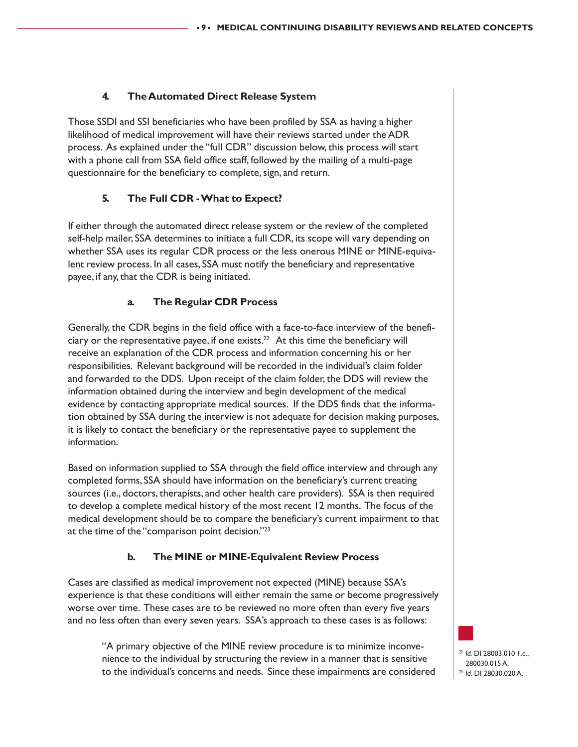#### **4. The Automated Direct Release System**

Those SSDI and SSI beneficiaries who have been profiled by SSA as having a higher likelihood of medical improvement will have their reviews started under the ADR process. As explained under the "full CDR" discussion below, this process will start with a phone call from SSA field office staff, followed by the mailing of a multi-page questionnaire for the beneficiary to complete, sign, and return.

#### **5. The Full CDR - What to Expect?**

If either through the automated direct release system or the review of the completed self-help mailer, SSA determines to initiate a full CDR, its scope will vary depending on whether SSA uses its regular CDR process or the less onerous MINE or MINE-equivalent review process. In all cases, SSA must notify the beneficiary and representative payee, if any, that the CDR is being initiated.

#### **a. The Regular CDR Process**

Generally, the CDR begins in the field office with a face-to-face interview of the beneficiary or the representative payee, if one exists. $^{22}$  At this time the beneficiary will receive an explanation of the CDR process and information concerning his or her responsibilities. Relevant background will be recorded in the individual's claim folder and forwarded to the DDS. Upon receipt of the claim folder, the DDS will review the information obtained during the interview and begin development of the medical evidence by contacting appropriate medical sources. If the DDS finds that the information obtained by SSA during the interview is not adequate for decision making purposes, it is likely to contact the beneficiary or the representative payee to supplement the information.

Based on information supplied to SSA through the field office interview and through any completed forms, SSA should have information on the beneficiary's current treating sources (i.e., doctors, therapists, and other health care providers). SSA is then required to develop a complete medical history of the most recent 12 months. The focus of the medical development should be to compare the beneficiary's current impairment to that at the time of the "comparison point decision."23

#### **b. The MINE or MINE-Equivalent Review Process**

Cases are classified as medical improvement not expected (MINE) because SSA's experience is that these conditions will either remain the same or become progressively worse over time. These cases are to be reviewed no more often than every five years and no less often than every seven years. SSA's approach to these cases is as follows:

"A primary objective of the MINE review procedure is to minimize inconvenience to the individual by structuring the review in a manner that is sensitive to the individual's concerns and needs. Since these impairments are considered

<sup>22</sup> *Id.* DI 28003.010 1.c., 280030.015 A. <sup>23</sup> *Id.* DI 28030.020 A.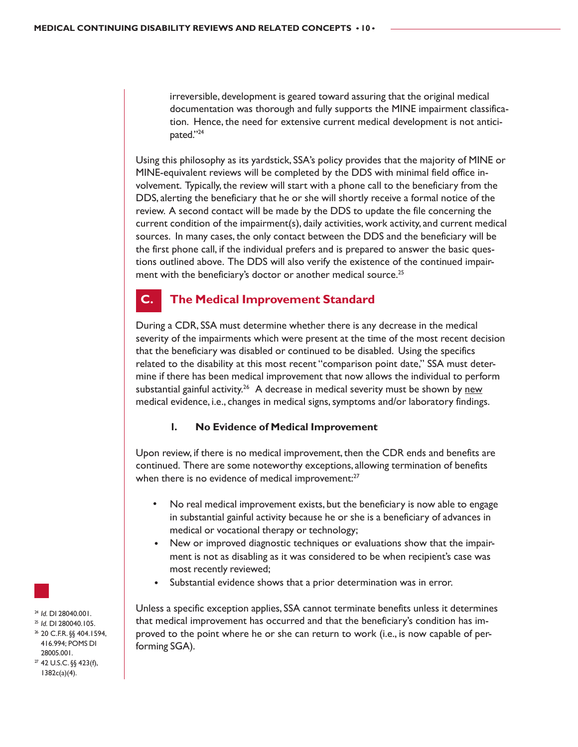irreversible, development is geared toward assuring that the original medical documentation was thorough and fully supports the MINE impairment classification. Hence, the need for extensive current medical development is not anticipated."24

Using this philosophy as its yardstick, SSA's policy provides that the majority of MINE or MINE-equivalent reviews will be completed by the DDS with minimal field office involvement. Typically, the review will start with a phone call to the beneficiary from the DDS, alerting the beneficiary that he or she will shortly receive a formal notice of the review. A second contact will be made by the DDS to update the file concerning the current condition of the impairment(s), daily activities, work activity, and current medical sources. In many cases, the only contact between the DDS and the beneficiary will be the first phone call, if the individual prefers and is prepared to answer the basic questions outlined above. The DDS will also verify the existence of the continued impairment with the beneficiary's doctor or another medical source.<sup>25</sup>

#### **C. The Medical Improvement Standard**

During a CDR, SSA must determine whether there is any decrease in the medical severity of the impairments which were present at the time of the most recent decision that the beneficiary was disabled or continued to be disabled. Using the specifics related to the disability at this most recent "comparison point date," SSA must determine if there has been medical improvement that now allows the individual to perform substantial gainful activity.<sup>26</sup> A decrease in medical severity must be shown by new medical evidence, i.e., changes in medical signs, symptoms and/or laboratory findings.

#### **1. No Evidence of Medical Improvement**

Upon review, if there is no medical improvement, then the CDR ends and benefits are continued. There are some noteworthy exceptions, allowing termination of benefits when there is no evidence of medical improvement:<sup>27</sup>

- No real medical improvement exists, but the beneficiary is now able to engage in substantial gainful activity because he or she is a beneficiary of advances in medical or vocational therapy or technology;
- New or improved diagnostic techniques or evaluations show that the impairment is not as disabling as it was considered to be when recipient's case was most recently reviewed;
- Substantial evidence shows that a prior determination was in error.

Unless a specific exception applies, SSA cannot terminate benefits unless it determines that medical improvement has occurred and that the beneficiary's condition has improved to the point where he or she can return to work (i.e., is now capable of performing SGA).



- <sup>24</sup> *Id.* DI 28040.001.<br><sup>25</sup> *Id.* DI 280040.105.<br><sup>26</sup> 20 C.F.R. §§ 404.1594,
- 416.994; POMS DI 28005.001.
- $27$  42 U.S.C. §§ 423(f), 1382c(a)(4).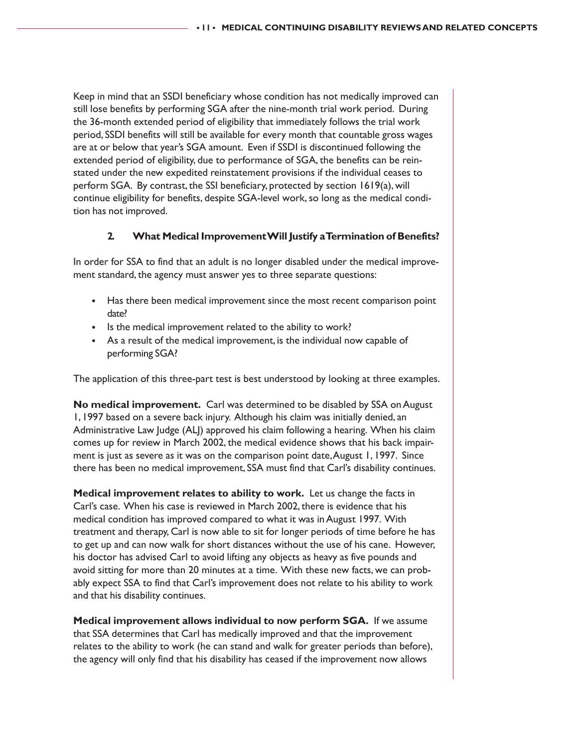Keep in mind that an SSDI beneficiary whose condition has not medically improved can still lose benefits by performing SGA after the nine-month trial work period. During the 36-month extended period of eligibility that immediately follows the trial work period, SSDI benefits will still be available for every month that countable gross wages are at or below that year's SGA amount. Even if SSDI is discontinued following the extended period of eligibility, due to performance of SGA, the benefits can be reinstated under the new expedited reinstatement provisions if the individual ceases to perform SGA. By contrast, the SSI beneficiary, protected by section 1619(a), will continue eligibility for benefits, despite SGA-level work, so long as the medical condition has not improved.

#### **2. What Medical Improvement Will Justify a Termination of Benefits?**

In order for SSA to find that an adult is no longer disabled under the medical improvement standard, the agency must answer yes to three separate questions:

- Has there been medical improvement since the most recent comparison point date?
- Is the medical improvement related to the ability to work?
- As a result of the medical improvement, is the individual now capable of performing SGA?

The application of this three-part test is best understood by looking at three examples.

**No medical improvement.** Carl was determined to be disabled by SSA on August 1, 1997 based on a severe back injury. Although his claim was initially denied, an Administrative Law Judge (ALJ) approved his claim following a hearing. When his claim comes up for review in March 2002, the medical evidence shows that his back impairment is just as severe as it was on the comparison point date, August 1, 1997. Since there has been no medical improvement, SSA must find that Carl's disability continues.

**Medical improvement relates to ability to work.** Let us change the facts in Carl's case. When his case is reviewed in March 2002, there is evidence that his medical condition has improved compared to what it was in August 1997. With treatment and therapy, Carl is now able to sit for longer periods of time before he has to get up and can now walk for short distances without the use of his cane. However, his doctor has advised Carl to avoid lifting any objects as heavy as five pounds and avoid sitting for more than 20 minutes at a time. With these new facts, we can probably expect SSA to find that Carl's improvement does not relate to his ability to work and that his disability continues.

**Medical improvement allows individual to now perform SGA.** If we assume that SSA determines that Carl has medically improved and that the improvement relates to the ability to work (he can stand and walk for greater periods than before), the agency will only find that his disability has ceased if the improvement now allows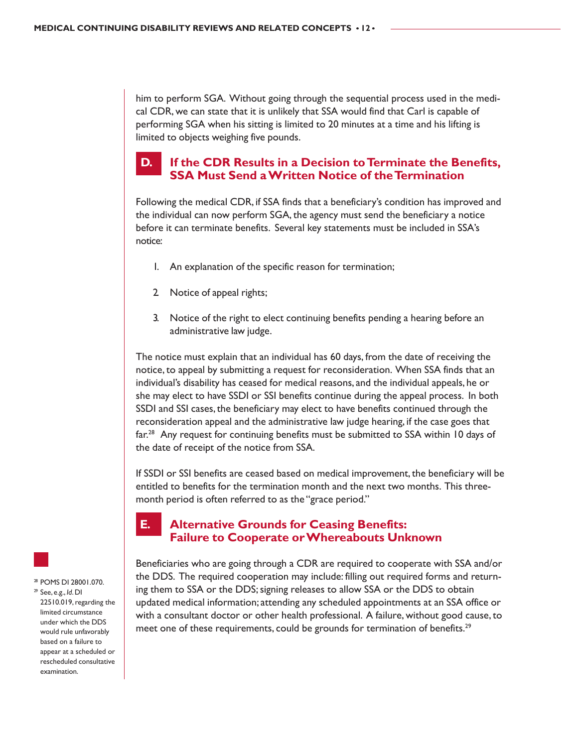him to perform SGA. Without going through the sequential process used in the medical CDR, we can state that it is unlikely that SSA would find that Carl is capable of performing SGA when his sitting is limited to 20 minutes at a time and his lifting is limited to objects weighing five pounds.

## **D. If the CDR Results in a Decision to Terminate the Benefits, SSA Must Send a Written Notice of the Termination**

Following the medical CDR, if SSA finds that a beneficiary's condition has improved and the individual can now perform SGA, the agency must send the beneficiary a notice before it can terminate benefits. Several key statements must be included in SSA's notice:

- 1. An explanation of the specific reason for termination;
- 2. Notice of appeal rights;
- 3. Notice of the right to elect continuing benefits pending a hearing before an administrative law judge.

The notice must explain that an individual has 60 days, from the date of receiving the notice, to appeal by submitting a request for reconsideration. When SSA finds that an individual's disability has ceased for medical reasons, and the individual appeals, he or she may elect to have SSDI or SSI benefits continue during the appeal process. In both SSDI and SSI cases, the beneficiary may elect to have benefits continued through the reconsideration appeal and the administrative law judge hearing, if the case goes that far.<sup>28</sup> Any request for continuing benefits must be submitted to SSA within 10 days of the date of receipt of the notice from SSA.

If SSDI or SSI benefits are ceased based on medical improvement, the beneficiary will be entitled to benefits for the termination month and the next two months. This threemonth period is often referred to as the "grace period."

#### **E. Alternative Grounds for Ceasing Benefits: Failure to Cooperate or Whereabouts Unknown**

Beneficiaries who are going through a CDR are required to cooperate with SSA and/or the DDS. The required cooperation may include: filling out required forms and returning them to SSA or the DDS; signing releases to allow SSA or the DDS to obtain updated medical information; attending any scheduled appointments at an SSA office or with a consultant doctor or other health professional. A failure, without good cause, to meet one of these requirements, could be grounds for termination of benefits.<sup>29</sup>



<sup>28</sup> POMS DI 28001.070.

<sup>29</sup> See, e.g., *Id*. DI 22510.019, regarding the limited circumstance under which the DDS would rule unfavorably based on a failure to appear at a scheduled or rescheduled consultative examination.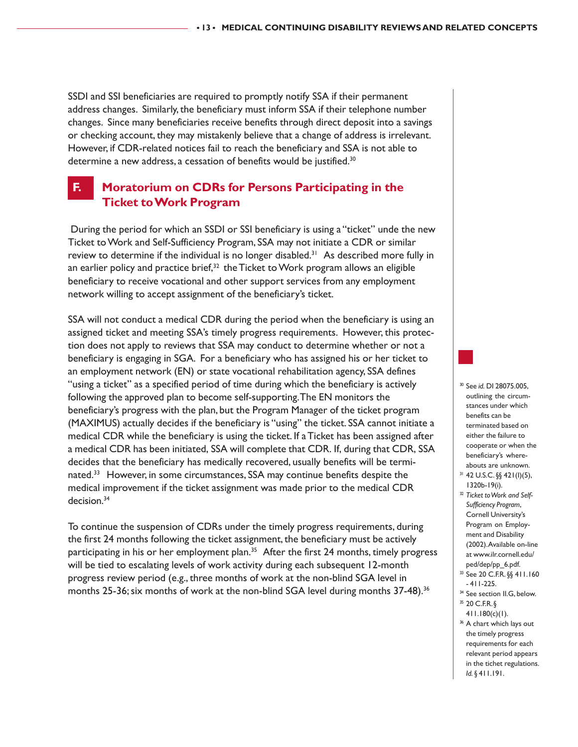SSDI and SSI beneficiaries are required to promptly notify SSA if their permanent address changes. Similarly, the beneficiary must inform SSA if their telephone number changes. Since many beneficiaries receive benefits through direct deposit into a savings or checking account, they may mistakenly believe that a change of address is irrelevant. However, if CDR-related notices fail to reach the beneficiary and SSA is not able to determine a new address, a cessation of benefits would be justified.<sup>30</sup>

### **F. Moratorium on CDRs for Persons Participating in the Ticket to Work Program**

 During the period for which an SSDI or SSI beneficiary is using a "ticket" unde the new Ticket to Work and Self-Sufficiency Program, SSA may not initiate a CDR or similar review to determine if the individual is no longer disabled.<sup>31</sup> As described more fully in an earlier policy and practice brief, $32$  the Ticket to Work program allows an eligible beneficiary to receive vocational and other support services from any employment network willing to accept assignment of the beneficiary's ticket.

SSA will not conduct a medical CDR during the period when the beneficiary is using an assigned ticket and meeting SSA's timely progress requirements. However, this protection does not apply to reviews that SSA may conduct to determine whether or not a beneficiary is engaging in SGA. For a beneficiary who has assigned his or her ticket to an employment network (EN) or state vocational rehabilitation agency, SSA defines "using a ticket" as a specified period of time during which the beneficiary is actively following the approved plan to become self-supporting. The EN monitors the beneficiary's progress with the plan, but the Program Manager of the ticket program (MAXIMUS) actually decides if the beneficiary is "using" the ticket. SSA cannot initiate a medical CDR while the beneficiary is using the ticket. If a Ticket has been assigned after a medical CDR has been initiated, SSA will complete that CDR. If, during that CDR, SSA decides that the beneficiary has medically recovered, usually benefits will be terminated.<sup>33</sup> However, in some circumstances, SSA may continue benefits despite the medical improvement if the ticket assignment was made prior to the medical CDR decision.<sup>34</sup>

To continue the suspension of CDRs under the timely progress requirements, during the first 24 months following the ticket assignment, the beneficiary must be actively participating in his or her employment plan.<sup>35</sup> After the first 24 months, timely progress will be tied to escalating levels of work activity during each subsequent 12-month progress review period (e.g., three months of work at the non-blind SGA level in months 25-36; six months of work at the non-blind SGA level during months 37-48).<sup>36</sup>

- <sup>30</sup> See *id.* DI 28075.005, outlining the circumstances under which benefits can be terminated based on either the failure to cooperate or when the beneficiary's whereabouts are unknown.
- <sup>31</sup> 42 U.S.C. §§ 421(I)(5), 1320b-19(i).
- <sup>32</sup> *Ticket to Work and Self-Sufficiency Program*, Cornell University's Program on Employment and Disability (2002). Available on-line at www.ilr.cornell.edu/ ped/dep/pp\_6.pdf.
- <sup>33</sup> See 20 C.F.R. §§ 411.160 - 411-225.
- <sup>34</sup> See section II.G, below.
- <sup>35</sup> 20 C.F.R. § 411.180(c)(1).
- <sup>36</sup> A chart which lays out the timely progress requirements for each relevant period appears in the tichet regulations. *Id.* § 411.191.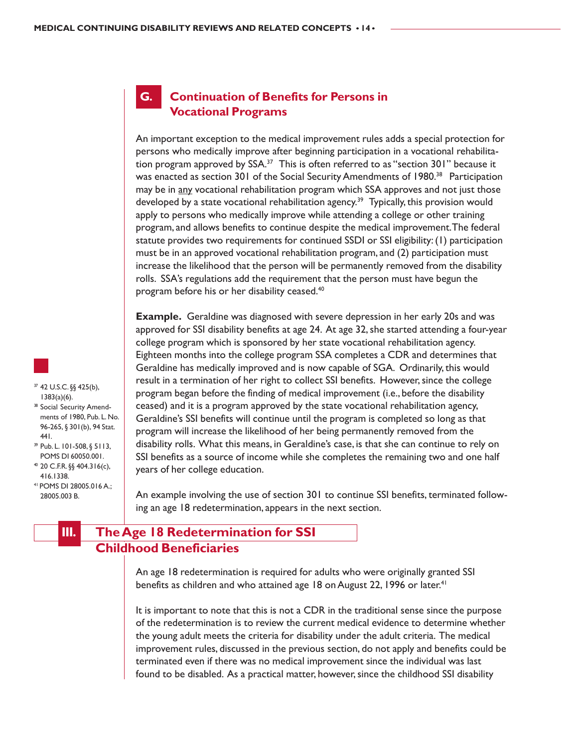#### **G. Continuation of Benefits for Persons in Vocational Programs**

An important exception to the medical improvement rules adds a special protection for persons who medically improve after beginning participation in a vocational rehabilitation program approved by  $SSA<sup>37</sup>$  This is often referred to as "section 301" because it was enacted as section 301 of the Social Security Amendments of 1980.<sup>38</sup> Participation may be in <u>any</u> vocational rehabilitation program which SSA approves and not just those developed by a state vocational rehabilitation agency.<sup>39</sup> Typically, this provision would apply to persons who medically improve while attending a college or other training program, and allows benefits to continue despite the medical improvement. The federal statute provides two requirements for continued SSDI or SSI eligibility: (1) participation must be in an approved vocational rehabilitation program, and (2) participation must increase the likelihood that the person will be permanently removed from the disability rolls. SSA's regulations add the requirement that the person must have begun the program before his or her disability ceased.40

**Example.** Geraldine was diagnosed with severe depression in her early 20s and was approved for SSI disability benefits at age 24. At age 32, she started attending a four-year college program which is sponsored by her state vocational rehabilitation agency. Eighteen months into the college program SSA completes a CDR and determines that Geraldine has medically improved and is now capable of SGA. Ordinarily, this would result in a termination of her right to collect SSI benefits. However, since the college program began before the finding of medical improvement (i.e., before the disability ceased) and it is a program approved by the state vocational rehabilitation agency, Geraldine's SSI benefits will continue until the program is completed so long as that program will increase the likelihood of her being permanently removed from the disability rolls. What this means, in Geraldine's case, is that she can continue to rely on SSI benefits as a source of income while she completes the remaining two and one half years of her college education.

An example involving the use of section 301 to continue SSI benefits, terminated following an age 18 redetermination, appears in the next section.

## **III. The Age 18 Redetermination for SSI Childhood Beneficiaries**

An age 18 redetermination is required for adults who were originally granted SSI benefits as children and who attained age 18 on August 22, 1996 or later.<sup>41</sup>

It is important to note that this is not a CDR in the traditional sense since the purpose of the redetermination is to review the current medical evidence to determine whether the young adult meets the criteria for disability under the adult criteria. The medical improvement rules, discussed in the previous section, do not apply and benefits could be terminated even if there was no medical improvement since the individual was last found to be disabled. As a practical matter, however, since the childhood SSI disability

- <sup>37</sup> 42 U.S.C. §§ 425(b), 1383(a)(6). <sup>38</sup> Social Security Amend-
- ments of 1980, Pub. L. No. 96-265, § 301(b), 94 Stat. 441.
- <sup>39</sup> Pub. L. 101-508, § 5113, POMS DI 60050.001.
- <sup>40</sup> 20 C.F.R. §§ 404.316(c), 416.1338.
- 41 POMS DI 28005.016 A.; 28005.003 B.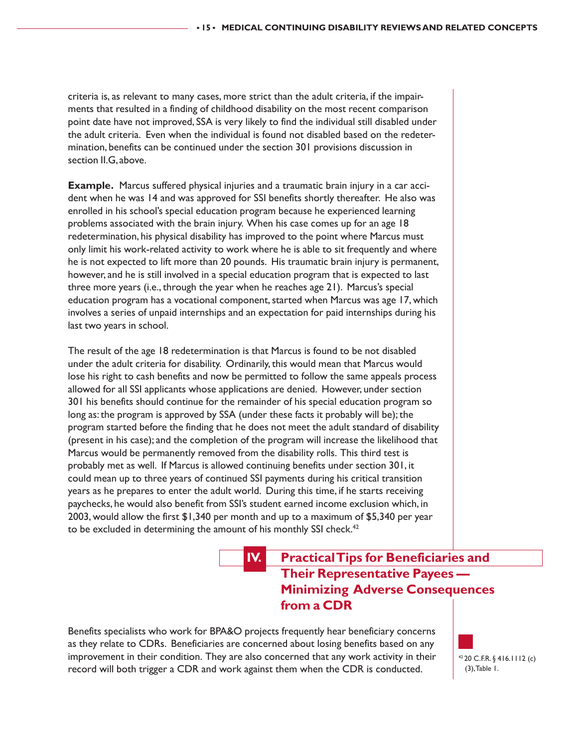criteria is, as relevant to many cases, more strict than the adult criteria, if the impairments that resulted in a finding of childhood disability on the most recent comparison point date have not improved, SSA is very likely to find the individual still disabled under the adult criteria. Even when the individual is found not disabled based on the redetermination, benefits can be continued under the section 301 provisions discussion in section II.G, above.

**Example.** Marcus suffered physical injuries and a traumatic brain injury in a car accident when he was 14 and was approved for SSI benefits shortly thereafter. He also was enrolled in his school's special education program because he experienced learning problems associated with the brain injury. When his case comes up for an age 18 redetermination, his physical disability has improved to the point where Marcus must only limit his work-related activity to work where he is able to sit frequently and where he is not expected to lift more than 20 pounds. His traumatic brain injury is permanent, however, and he is still involved in a special education program that is expected to last three more years (i.e., through the year when he reaches age 21). Marcus's special education program has a vocational component, started when Marcus was age 17, which involves a series of unpaid internships and an expectation for paid internships during his last two years in school.

The result of the age 18 redetermination is that Marcus is found to be not disabled under the adult criteria for disability. Ordinarily, this would mean that Marcus would lose his right to cash benefits and now be permitted to follow the same appeals process allowed for all SSI applicants whose applications are denied. However, under section 301 his benefits should continue for the remainder of his special education program so long as: the program is approved by SSA (under these facts it probably will be); the program started before the finding that he does not meet the adult standard of disability (present in his case); and the completion of the program will increase the likelihood that Marcus would be permanently removed from the disability rolls. This third test is probably met as well. If Marcus is allowed continuing benefits under section 301, it could mean up to three years of continued SSI payments during his critical transition years as he prepares to enter the adult world. During this time, if he starts receiving paychecks, he would also benefit from SSI's student earned income exclusion which, in 2003, would allow the first \$1,340 per month and up to a maximum of \$5,340 per year to be excluded in determining the amount of his monthly SSI check.<sup>42</sup>

## **IV. Practical Tips for Beneficiaries and Their Representative Payees — Minimizing Adverse Consequences from a CDR**

Benefits specialists who work for BPA&O projects frequently hear beneficiary concerns as they relate to CDRs. Beneficiaries are concerned about losing benefits based on any improvement in their condition. They are also concerned that any work activity in their record will both trigger a CDR and work against them when the CDR is conducted.

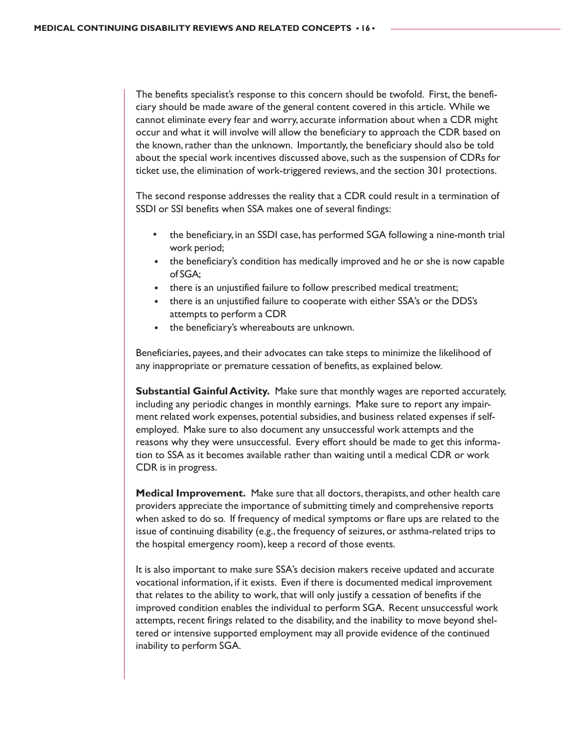The benefits specialist's response to this concern should be twofold. First, the beneficiary should be made aware of the general content covered in this article. While we cannot eliminate every fear and worry, accurate information about when a CDR might occur and what it will involve will allow the beneficiary to approach the CDR based on the known, rather than the unknown. Importantly, the beneficiary should also be told about the special work incentives discussed above, such as the suspension of CDRs for ticket use, the elimination of work-triggered reviews, and the section 301 protections.

The second response addresses the reality that a CDR could result in a termination of SSDI or SSI benefits when SSA makes one of several findings:

- the beneficiary, in an SSDI case, has performed SGA following a nine-month trial work period;
- the beneficiary's condition has medically improved and he or she is now capable of SGA;
- there is an unjustified failure to follow prescribed medical treatment;
- there is an unjustified failure to cooperate with either SSA's or the DDS's attempts to perform a CDR
- the beneficiary's whereabouts are unknown.

Beneficiaries, payees, and their advocates can take steps to minimize the likelihood of any inappropriate or premature cessation of benefits, as explained below.

**Substantial Gainful Activity.** Make sure that monthly wages are reported accurately, including any periodic changes in monthly earnings. Make sure to report any impairment related work expenses, potential subsidies, and business related expenses if selfemployed. Make sure to also document any unsuccessful work attempts and the reasons why they were unsuccessful. Every effort should be made to get this information to SSA as it becomes available rather than waiting until a medical CDR or work CDR is in progress.

**Medical Improvement.** Make sure that all doctors, therapists, and other health care providers appreciate the importance of submitting timely and comprehensive reports when asked to do so. If frequency of medical symptoms or flare ups are related to the issue of continuing disability (e.g., the frequency of seizures, or asthma-related trips to the hospital emergency room), keep a record of those events.

It is also important to make sure SSA's decision makers receive updated and accurate vocational information, if it exists. Even if there is documented medical improvement that relates to the ability to work, that will only justify a cessation of benefits if the improved condition enables the individual to perform SGA. Recent unsuccessful work attempts, recent firings related to the disability, and the inability to move beyond sheltered or intensive supported employment may all provide evidence of the continued inability to perform SGA.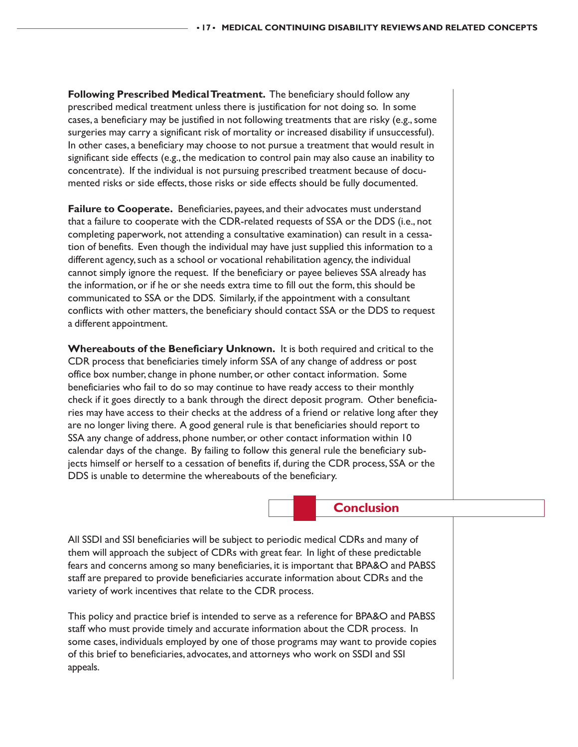**Following Prescribed Medical Treatment.** The beneficiary should follow any prescribed medical treatment unless there is justification for not doing so. In some cases, a beneficiary may be justified in not following treatments that are risky (e.g., some surgeries may carry a significant risk of mortality or increased disability if unsuccessful). In other cases, a beneficiary may choose to not pursue a treatment that would result in significant side effects (e.g., the medication to control pain may also cause an inability to concentrate). If the individual is not pursuing prescribed treatment because of documented risks or side effects, those risks or side effects should be fully documented.

**Failure to Cooperate.** Beneficiaries, payees, and their advocates must understand that a failure to cooperate with the CDR-related requests of SSA or the DDS (i.e., not completing paperwork, not attending a consultative examination) can result in a cessation of benefits. Even though the individual may have just supplied this information to a different agency, such as a school or vocational rehabilitation agency, the individual cannot simply ignore the request. If the beneficiary or payee believes SSA already has the information, or if he or she needs extra time to fill out the form, this should be communicated to SSA or the DDS. Similarly, if the appointment with a consultant conflicts with other matters, the beneficiary should contact SSA or the DDS to request a different appointment.

**Whereabouts of the Beneficiary Unknown.** It is both required and critical to the CDR process that beneficiaries timely inform SSA of any change of address or post office box number, change in phone number, or other contact information. Some beneficiaries who fail to do so may continue to have ready access to their monthly check if it goes directly to a bank through the direct deposit program. Other beneficiaries may have access to their checks at the address of a friend or relative long after they are no longer living there. A good general rule is that beneficiaries should report to SSA any change of address, phone number, or other contact information within 10 calendar days of the change. By failing to follow this general rule the beneficiary subjects himself or herself to a cessation of benefits if, during the CDR process, SSA or the DDS is unable to determine the whereabouts of the beneficiary.

#### **Conclusion**

All SSDI and SSI beneficiaries will be subject to periodic medical CDRs and many of them will approach the subject of CDRs with great fear. In light of these predictable fears and concerns among so many beneficiaries, it is important that BPA&O and PABSS staff are prepared to provide beneficiaries accurate information about CDRs and the variety of work incentives that relate to the CDR process.

This policy and practice brief is intended to serve as a reference for BPA&O and PABSS staff who must provide timely and accurate information about the CDR process. In some cases, individuals employed by one of those programs may want to provide copies of this brief to beneficiaries, advocates, and attorneys who work on SSDI and SSI appeals.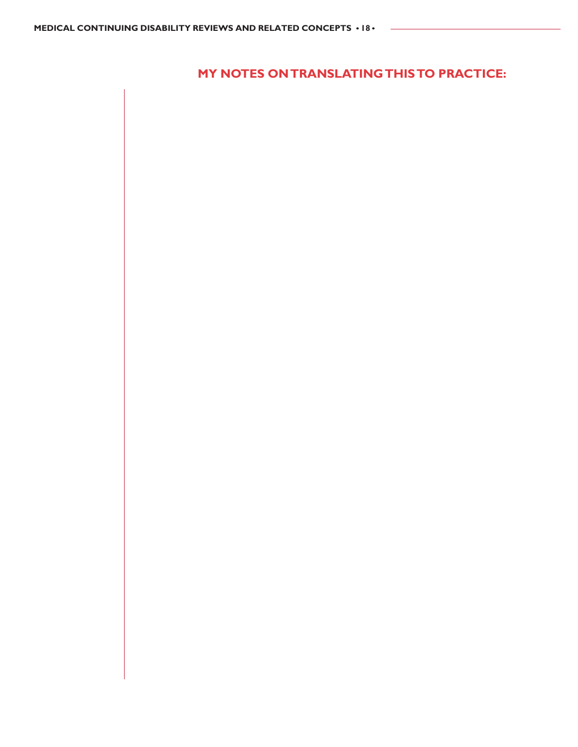**MY NOTES ON TRANSLATING THIS TO PRACTICE:**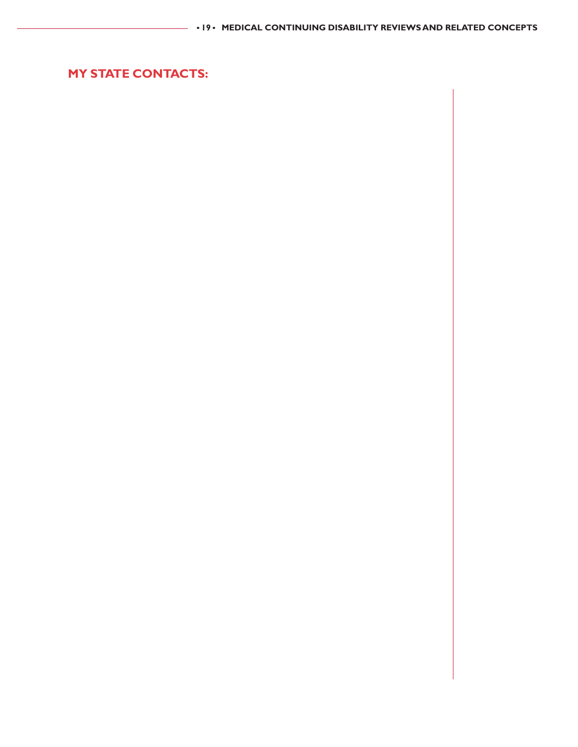**MY STATE CONTACTS:**